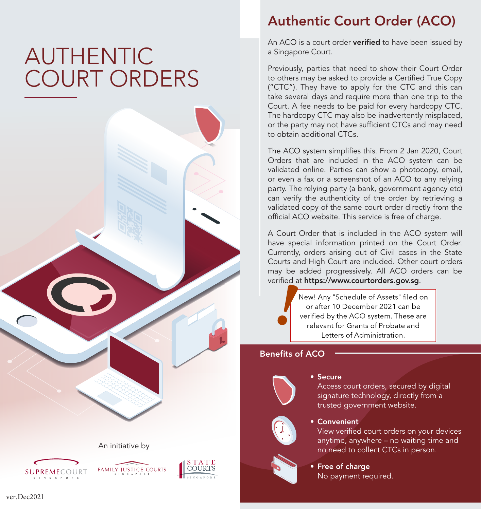# AUTHENTIC COURT ORDERS









## Authentic Court Order (ACO)

An ACO is a court order verified to have been issued by a Singapore Court.

Previously, parties that need to show their Court Order to others may be asked to provide a Certified True Copy ("CTC"). They have to apply for the CTC and this can take several days and require more than one trip to the Court. A fee needs to be paid for every hardcopy CTC. The hardcopy CTC may also be inadvertently misplaced, or the party may not have sufficient CTCs and may need to obtain additional CTCs.

The ACO system simplifies this. From 2 Jan 2020, Court Orders that are included in the ACO system can be validated online. Parties can show a photocopy, email, or even a fax or a screenshot of an ACO to any relying party. The relying party (a bank, government agency etc) can verify the authenticity of the order by retrieving a validated copy of the same court order directly from the official ACO website. This service is free of charge.

A Court Order that is included in the ACO system will have special information printed on the Court Order. Currently, orders arising out of Civil cases in the State Courts and High Court are included. Other court orders may be added progressively. All ACO orders can be verified at https://www.courtorders.gov.sg.

**!** or after 10 December 2021 can be relevant for Grants of Probate and Letters of Administration.

### Benefits of ACO



#### • Secure

Access court orders, secured by digital signature technology, directly from a trusted government website.

### • Convenient

View verified court orders on your devices anytime, anywhere – no waiting time and no need to collect CTCs in person.



• Free of charge No payment required.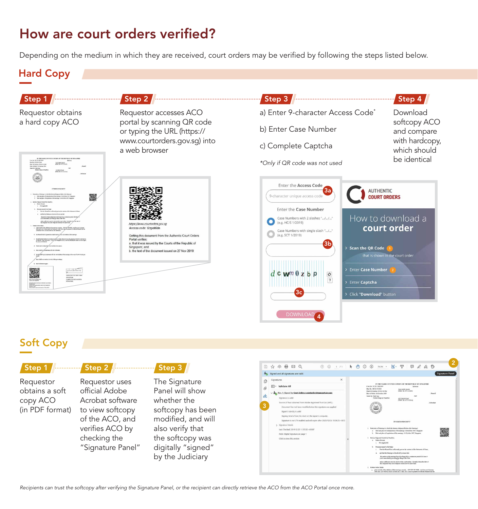## How are court orders verified?

Depending on the medium in which they are received, court orders may be verified by following the steps listed below.

### Hard Copy



### Soft Copy

| Step 1          |   |
|-----------------|---|
| Requestor       |   |
| obtains a soft  |   |
| copy ACO        |   |
| (in PDF format) | i |
|                 |   |
|                 |   |

Requestor uses official Adobe Acrobat software to view softcopy of the ACO, and verifies ACO by checking the "Signature Panel"



The Signature Panel will show whether the softcopy has been modified, and will also verify that the softcopy was digitally "signed" by the Judiciary



*Recipients can trust the softcopy after verifying the Signature Panel, or the recipient can directly retrieve the ACO from the ACO Portal once more.*